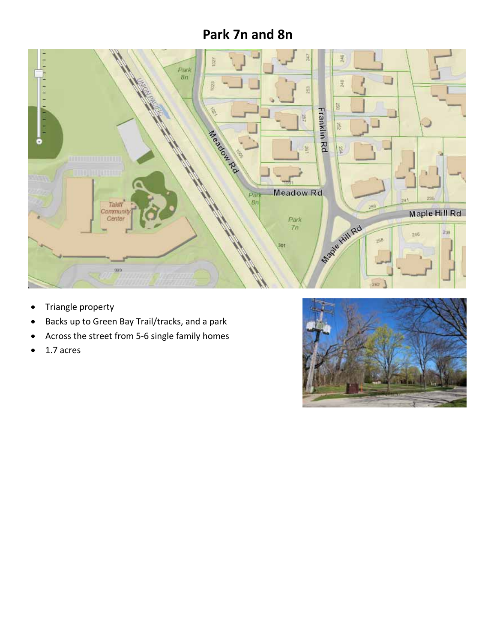# **Park 7n and 8n**



- Triangle property
- Backs up to Green Bay Trail/tracks, and a park
- Across the street from 5‐6 single family homes
- $\bullet$  1.7 acres

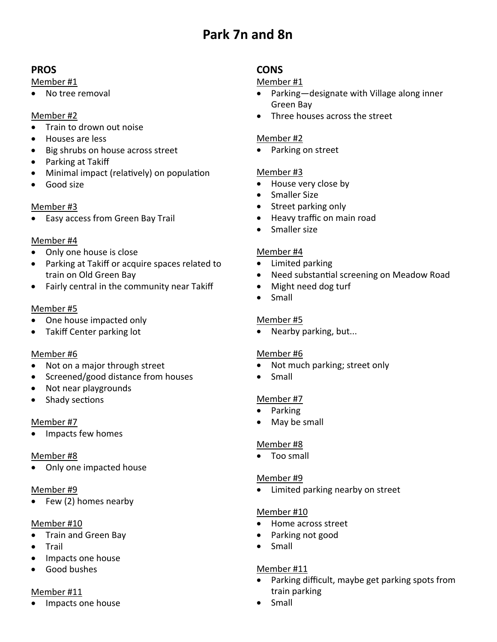# **Park 7n and 8n**

## **PROS**

#### Member #1

No tree removal

#### Member #2

- Train to drown out noise
- Houses are less
- Big shrubs on house across street
- Parking at Takiff
- Minimal impact (relatively) on population
- Good size

## Member #3

• Easy access from Green Bay Trail

#### Member #4

- Only one house is close
- Parking at Takiff or acquire spaces related to train on Old Green Bay
- Fairly central in the community near Takiff

#### Member #5

- One house impacted only
- Takiff Center parking lot

## Member #6

- Not on a major through street
- Screened/good distance from houses
- Not near playgrounds
- Shady sections

#### Member #7

Impacts few homes

#### Member #8

• Only one impacted house

#### Member #9

Few (2) homes nearby

#### Member #10

- Train and Green Bay
- Trail
- Impacts one house
- **Good bushes**

## Member #11

Impacts one house

## **CONS**

#### Member #1

- Parking—designate with Village along inner Green Bay
- Three houses across the street

#### Member #2

• Parking on street

#### Member #3

- House very close by
- Smaller Size
- Street parking only
- Heavy traffic on main road
- Smaller size

#### Member #4

- Limited parking
- Need substantial screening on Meadow Road
- Might need dog turf
- Small

## Member #5

Nearby parking, but...

## Member #6

- Not much parking; street only
- Small

#### Member #7

- Parking
- May be small

## Member #8

• Too small

## Member #9

Limited parking nearby on street

#### Member #10

- Home across street
- Parking not good
- Small

## Member #11

- Parking difficult, maybe get parking spots from train parking
- Small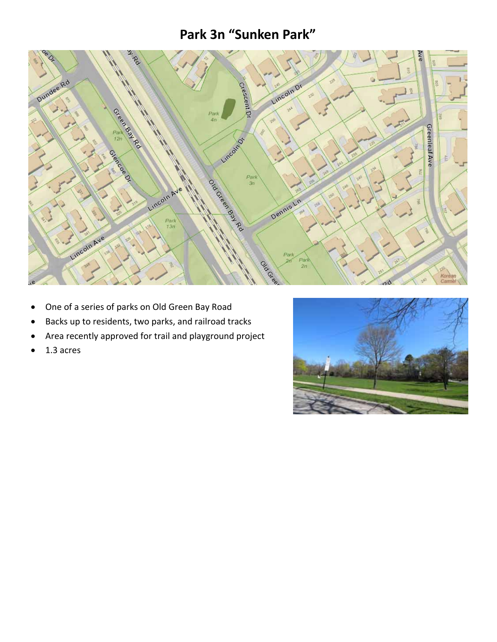# **Park 3n "Sunken Park"**



- One of a series of parks on Old Green Bay Road
- Backs up to residents, two parks, and railroad tracks
- Area recently approved for trail and playground project
- $\bullet$  1.3 acres

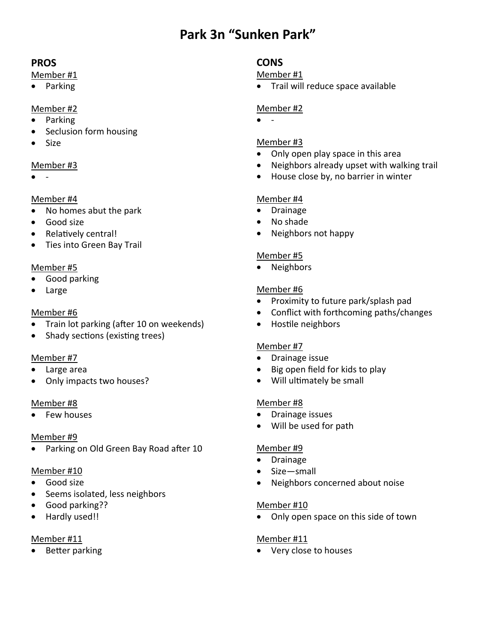# **Park 3n "Sunken Park"**

## **PROS**

#### Member #1

• Parking

## Member #2

- Parking
- Seclusion form housing
- Size

#### Member #3

‐

#### Member #4

- No homes abut the park
- Good size
- Relatively central!
- Ties into Green Bay Trail

#### Member #5

- Good parking
- Large

#### Member #6

- Train lot parking (after 10 on weekends)
- Shady sections (existing trees)

#### Member #7

- Large area
- Only impacts two houses?

#### Member #8

• Few houses

#### Member #9

• Parking on Old Green Bay Road after 10

#### Member #10

- Good size
- Seems isolated, less neighbors
- Good parking??
- Hardly used!!

## Member #11

• Better parking

## **CONS**

#### Member #1

Trail will reduce space available

#### Member #2

‐

#### Member #3

- Only open play space in this area
- Neighbors already upset with walking trail
- House close by, no barrier in winter

## Member #4

- Drainage
- No shade
- Neighbors not happy

#### Member #5

• Neighbors

#### Member #6

- Proximity to future park/splash pad
- Conflict with forthcoming paths/changes
- Hostile neighbors

#### Member #7

- Drainage issue
- Big open field for kids to play
- Will ultimately be small

## Member #8

- Drainage issues
- Will be used for path

#### Member #9

- Drainage
- Size—small
- Neighbors concerned about noise

#### Member #10

• Only open space on this side of town

#### Member #11

Very close to houses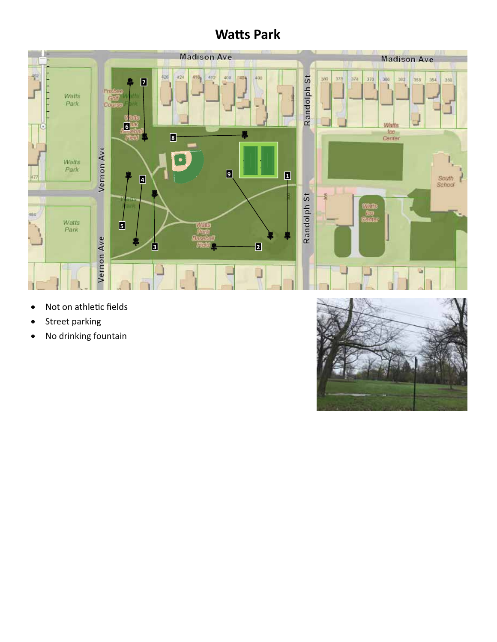# **WaƩs Park**



- Not on athletic fields
- Street parking
- No drinking fountain

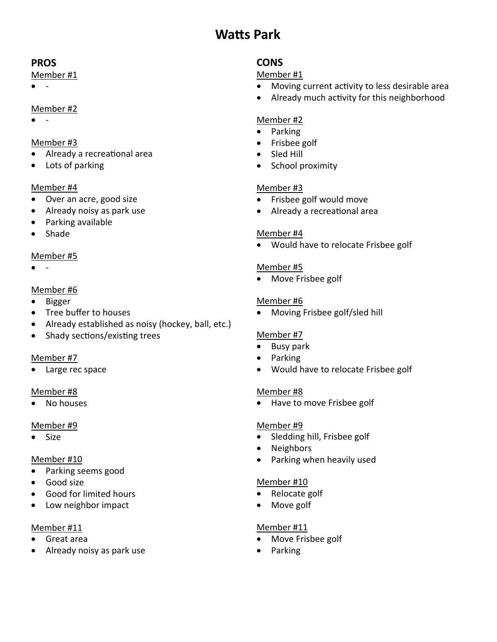# **WaƩs Park**

## **PROS**

#### Member #1

 $\bullet$   $\qquad$ 

## Member #2

 $\overline{a}$ 

## Member #3

- Already a recreational area
- Lots of parking

## Member #4

- Over an acre, good size
- Already noisy as park use
- Parking available
- Shade

## Member #5

‐

## Member #6

- Bigger
- Tree buffer to houses
- Already established as noisy (hockey, ball, etc.)
- Shady sections/existing trees

## Member #7

• Large rec space

## Member #8

No houses

## Member #9

Size

## Member #10

- Parking seems good
- Good size
- Good for limited hours
- Low neighbor impact

## Member #11

- Great area
- Already noisy as park use

# **CONS**

## Member #1

- Moving current activity to less desirable area
- Already much activity for this neighborhood

## Member #2

- Parking
- Frisbee golf
- Sled Hill
- School proximity

## Member #3

- Frisbee golf would move
- Already a recreational area

## Member #4

Would have to relocate Frisbee golf

## Member #5

• Move Frisbee golf

## Member #6

Moving Frisbee golf/sled hill

## Member #7

- Busy park
- Parking
- Would have to relocate Frisbee golf

## Member #8

• Have to move Frisbee golf

## Member #9

- Sledding hill, Frisbee golf
- Neighbors
- Parking when heavily used

## Member #10

- Relocate golf
- Move golf

## Member #11

- Move Frisbee golf
- Parking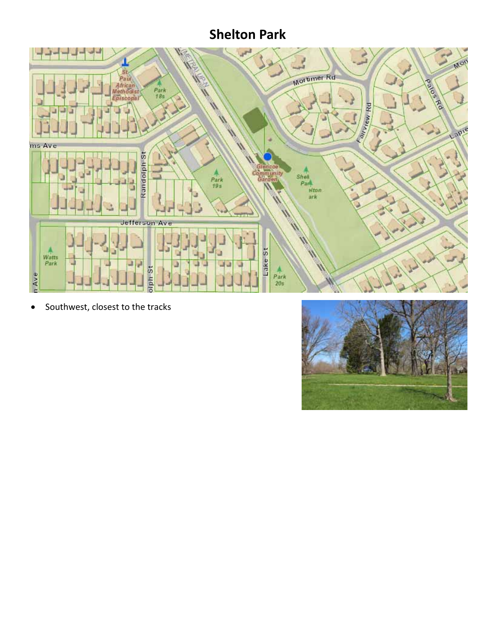# **Shelton Park**



• Southwest, closest to the tracks

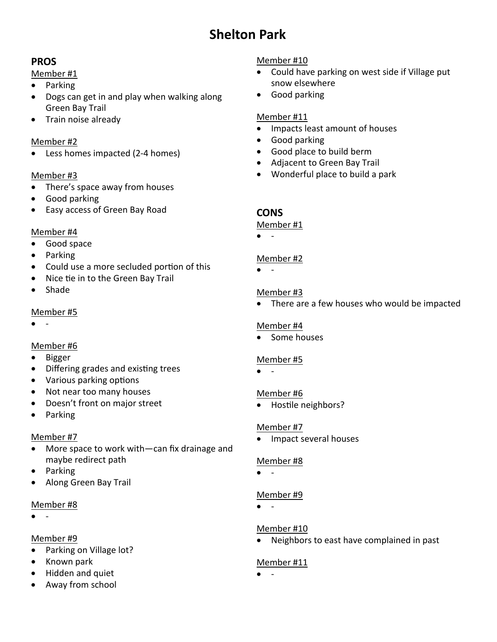# **Shelton Park**

## **PROS**

#### Member #1

- Parking
- Dogs can get in and play when walking along Green Bay Trail
- Train noise already

#### Member #2

● Less homes impacted (2-4 homes)

#### Member #3

- There's space away from houses
- Good parking
- Easy access of Green Bay Road

#### Member #4

- Good space
- Parking
- Could use a more secluded portion of this
- Nice tie in to the Green Bay Trail
- Shade

## Member #5

 $\bullet$ 

## Member #6

- Bigger
- Differing grades and existing trees
- Various parking options
- Not near too many houses
- Doesn't front on major street
- Parking

## Member #7

- More space to work with—can fix drainage and maybe redirect path
- Parking
- Along Green Bay Trail

## Member #8

‐

## Member #9

- Parking on Village lot?
- Known park
- Hidden and quiet
- Away from school

## Member #10

- Could have parking on west side if Village put snow elsewhere
- Good parking

## Member #11

- Impacts least amount of houses
- Good parking
- Good place to build berm
- Adjacent to Green Bay Trail
- Wonderful place to build a park

## **CONS**

#### Member #1

 $\bullet$   $\qquad$ 

## Member #2

 $\bullet$   $\qquad$ 

## Member #3

• There are a few houses who would be impacted

## Member #4

• Some houses

## Member #5

 $\bullet$  -

## Member #6

• Hostile neighbors?

## Member #7

• Impact several houses

## Member #8

 $\bullet$   $\qquad$ 

## Member #9

 $\bullet$   $\bullet$ 

## Member #10

Neighbors to east have complained in past

## Member #11

‐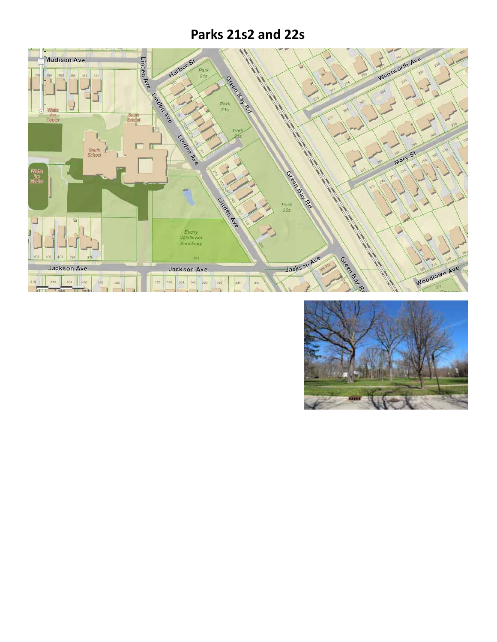# **Parks 21s2 and 22s**



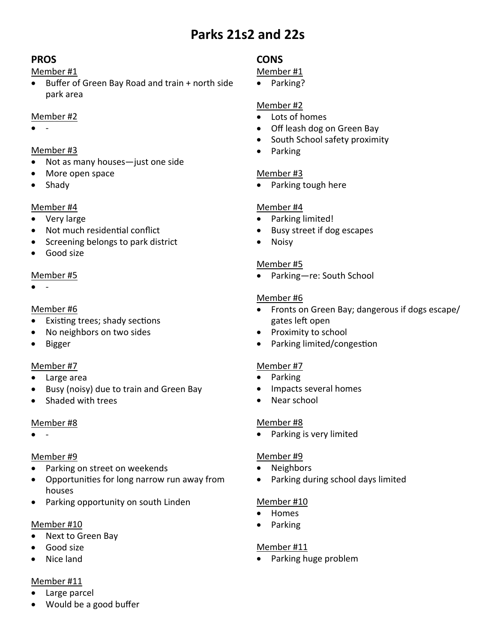# **Parks 21s2 and 22s**

## **PROS**

#### Member #1

 Buffer of Green Bay Road and train + north side park area

#### Member #2

 $\bullet$   $\qquad$ 

#### Member #3

- Not as many houses—just one side
- More open space
- Shady

## Member #4

- Very large
- Not much residential conflict
- Screening belongs to park district
- Good size

#### Member #5

 $\bullet$  -

#### Member #6

- Existing trees; shady sections
- No neighbors on two sides
- Bigger

#### Member #7

- Large area
- Busy (noisy) due to train and Green Bay
- Shaded with trees

#### Member #8

 $\bullet$   $\qquad$ 

## Member #9

- Parking on street on weekends
- Opportunities for long narrow run away from houses
- Parking opportunity on south Linden

#### Member #10

- Next to Green Bay
- Good size
- Nice land

#### Member #11

- Large parcel
- Would be a good buffer

## **CONS**

## Member #1

• Parking?

## Member #2

- Lots of homes
- Off leash dog on Green Bay
- South School safety proximity
- Parking

## Member #3

• Parking tough here

## Member #4

- Parking limited!
- Busy street if dog escapes
- Noisy

#### Member #5

Parking—re: South School

#### Member #6

- Fronts on Green Bay; dangerous if dogs escape/ gates left open
- Proximity to school
- Parking limited/congestion

#### Member #7

- Parking
- Impacts several homes
- Near school

#### Member #8

Parking is very limited

## Member #9

- Neighbors
- Parking during school days limited

#### Member #10

- Homes
- Parking

#### Member #11

• Parking huge problem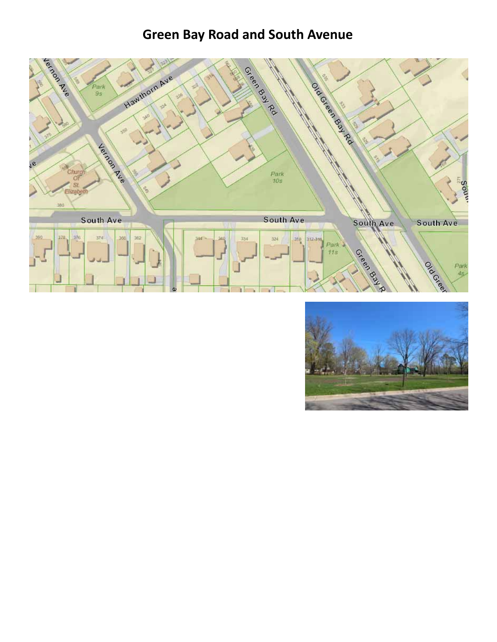# **Green Bay Road and South Avenue**